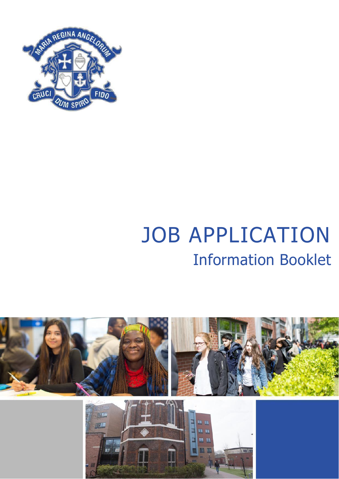

# JOB APPLICATION Information Booklet

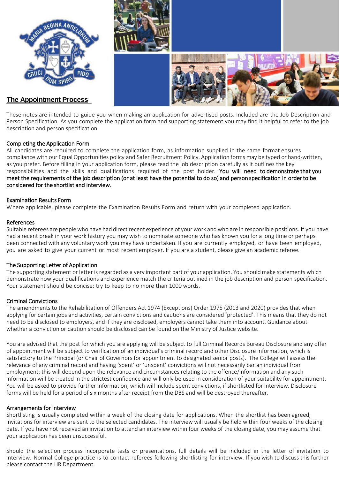

These notes are intended to guide you when making an application for advertised posts. Included are the Job Description and Person Specification. As you complete the application form and supporting statement you may find it helpful to refer to the job description and person specification.

#### Completing the Application Form

All candidates are required to complete the application form, as information supplied in the same format ensures compliance with our Equal Opportunities policy and Safer Recruitment Policy. Application forms may be typed or hand-written, as you prefer. Before filling in your application form, please read the job description carefully as it outlines the key responsibilities and the skills and qualifications required of the post holder. You will need to demonstrate that you meet the requirements of the job description (or at least have the potential to do so) and person specification in order to be considered for the shortlist and interview.

#### Examination Results Form

Where applicable, please complete the Examination Results Form and return with your completed application.

#### References

Suitable referees are people who have had direct recent experience of your work and who are in responsible positions. If you have had a recent break in your work history you may wish to nominate someone who has known you for a long time or perhaps been connected with any voluntary work you may have undertaken. If you are currently employed, or have been employed, you are asked to give your current or most recent employer. If you are a student, please give an academic referee.

#### The Supporting Letter of Application

The supporting statement or letter is regarded as a very important part of your application. You should make statements which demonstrate how your qualifications and experience match the criteria outlined in the job description and person specification. Your statement should be concise; try to keep to no more than 1000 words.

#### Criminal Convictions

The amendments to the Rehabilitation of Offenders Act 1974 (Exceptions) Order 1975 (2013 and 2020) provides that when applying for certain jobs and activities, certain convictions and cautions are considered 'protected'. This means that they do not need to be disclosed to employers, and if they are disclosed, employers cannot take them into account. Guidance about whether a conviction or caution should be disclosed can be found on the Ministry of Justice website.

You are advised that the post for which you are applying will be subject to full Criminal Records Bureau Disclosure and any offer of appointment will be subject to verification of an individual's criminal record and other Disclosure information, which is satisfactory to the Principal (or Chair of Governors for appointment to designated senior posts). The College will assess the relevance of any criminal record and having 'spent' or 'unspent' convictions will not necessarily bar an individual from employment; this will depend upon the relevance and circumstances relating to the offence/information and any such information will be treated in the strictest confidence and will only be used in consideration of your suitability for appointment. You will be asked to provide further information, which will include spent convictions, if shortlisted for interview. Disclosure forms will be held for a period of six months after receipt from the DBS and will be destroyed thereafter.

#### Arrangements for interview

Shortlisting is usually completed within a week of the closing date for applications. When the shortlist has been agreed, invitations for interview are sent to the selected candidates. The interview will usually be held within four weeks of the closing date. If you have not received an invitation to attend an interview within four weeks of the closing date, you may assume that your application has been unsuccessful.

Should the selection process incorporate tests or presentations, full details will be included in the letter of invitation to interview. Normal College practice is to contact referees following shortlisting for interview. If you wish to discuss this further please contact the HR Department.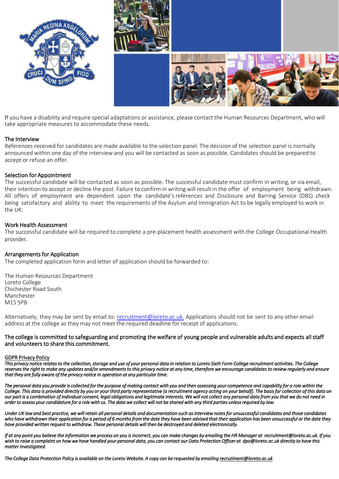

If you have a disability and require special adaptations or assistance, please contact the Human Resources Department, who will take appropriate measures to accommodate these needs.

#### The Interview

References received for candidates are made available to the selection panel. The decision of the selection panel is normally announced within one day of the interview and you will be contacted as soon as possible. Candidates should be prepared to accept or refuse an offer.

#### Selection for Appointment

The successful candidate will be contacted as soon as possible. The successful candidate must confirm in writing, or via email, their intention to accept or decline the post. Failure to confirm in writing will result in the offer of employment being withdrawn. All offers of employment are dependent upon the candidate's references and Disclosure and Barring Service (DBS) check being satisfactory and ability to meet the requirements of the Asylum and Immigration Act to be legally employed to work in the UK.

#### Work Health Assessment

The successful candidate will be required to complete a pre-placement health assessment with the College Occupational Health provider.

#### Arrangements for Application

The completed application form and letter of application should be forwarded to:

The Human Resources Department Loreto College Chichester Road South Manchester M15 5PB

Alternatively, they may be sent by email to: recruitment@loreto.ac.uk. Applications should not be sent to any other email address at the college as they may not meet the required deadline for receipt of applications.

#### The college is committed to safeguarding and promoting the welfare of young people and vulnerable adults and expects all staff and volunteers to share this commitment.

#### GDPR Privacy Policy

*This privacy notice relates to the collection, storage and use of your personal data in relation to Loreto Sixth Form College recruitment activities. The College reserves the right to make any updates and/or amendments to this privacy notice at any time, therefore we encourage candidates to review regularly and ensure that they are fully aware of the privacy notice in operation at any particular time.*

*The personal data you provide is collected for the purpose of making contact with you and then assessing your competence and capability for a role within the College. This data is provided directly by you or your third party representative (a recruitment agency acting on your behalf). The basis for collection of this data on our part is a combination of individual consent, legal obligations and legitimate interests. We will not collect any personal data from you that we do not need in order to assess your candidature for a role with us. The data we collect will not be shared with any third parties unless required by law.* 

Under UK law and best practice, we will retain all personal details and documentation such as interview notes for unsuccessful candidates and those candidates *who have withdrawn their application for a period of 6 months from the date they have been advised that their application has been unsuccessful or the date they have provided written request to withdraw. These personal details will then be destroyed and deleted electronically.*

*If at any point you believe the information we process on you is incorrect, you can make changes by emailing the HR Manager at recruitment@loreto.ac.uk. If you wish to raise a complaint on how we have handled your personal data, you can contact our Data Protection Officer at dpo@loreto.ac.uk directly to have this matter investigated.* 

*The College Data Protection Policy is available on the Loreto Website. A copy can be requested by emailing recrutiment@loreto.ac.uk*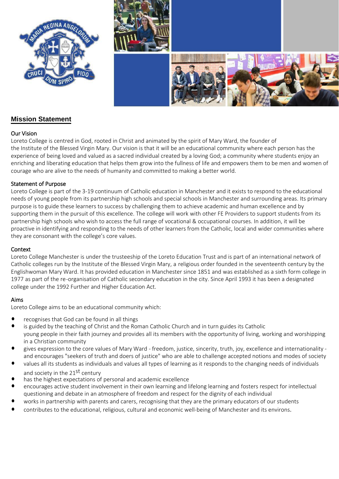



# **Mission Statement**

#### Our Vision

Loreto College is centred in God, rooted in Christ and animated by the spirit of Mary Ward, the founder of the Institute of the Blessed Virgin Mary. Our vision is that it will be an educational community where each person has the experience of being loved and valued as a sacred individual created by a loving God; a community where students enjoy an enriching and liberating education that helps them grow into the fullness of life and empowers them to be men and women of courage who are alive to the needs of humanity and committed to making a better world.

#### Statement of Purpose

Loreto College is part of the 3-19 continuum of Catholic education in Manchester and it exists to respond to the educational needs of young people from its partnership high schools and special schools in Manchester and surrounding areas. Its primary purpose is to guide these learners to success by challenging them to achieve academic and human excellence and by supporting them in the pursuit of this excellence. The college will work with other FE Providers to support students from its partnership high schools who wish to access the full range of vocational & occupational courses. In addition, it will be proactive in identifying and responding to the needs of other learners from the Catholic, local and wider communities where they are consonant with the college's core values.

#### **Context**

Loreto College Manchester is under the trusteeship of the Loreto Education Trust and is part of an international network of Catholic colleges run by the Institute of the Blessed Virgin Mary, a religious order founded in the seventeenth century by the Englishwoman Mary Ward. It has provided education in Manchester since 1851 and was established as a sixth form college in 1977 as part of the re-organisation of Catholic secondary education in the city. Since April 1993 it has been a designated college under the 1992 Further and Higher Education Act.

## Aims

Loreto College aims to be an educational community which:

- recognises that God can be found in all things
- is guided by the teaching of Christ and the Roman Catholic Church and in turn guides its Catholic young people in their faith journey and provides all its members with the opportunity of living, working and worshipping in a Christian community
- gives expression to the core values of Mary Ward freedom, justice, sincerity, truth, joy, excellence and internationality and encourages "seekers of truth and doers of justice" who are able to challenge accepted notions and modes of society
- values all its students as individuals and values all types of learning as it responds to the changing needs of individuals and society in the 21<sup>st</sup> century
- has the highest expectations of personal and academic excellence
- encourages active student involvement in their own learning and lifelong learning and fosters respect for intellectual questioning and debate in an atmosphere of freedom and respect for the dignity of each individual
- works in partnership with parents and carers, recognising that they are the primary educators of our students
- contributes to the educational, religious, cultural and economic well-being of Manchester and its environs.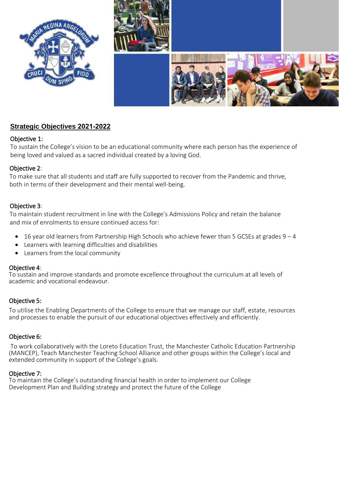

# **Strategic Objectives 2021-2022**

# Objective 1:

To sustain the College's vision to be an educational community where each person has the experience of being loved and valued as a sacred individual created by a loving God.

# Objective 2:

To make sure that all students and staff are fully supported to recover from the Pandemic and thrive, both in terms of their development and their mental well-being.

# Objective 3:

To maintain student recruitment in line with the College's Admissions Policy and retain the balance and mix of enrolments to ensure continued access for:

- $\bullet$  16 year old learners from Partnership High Schools who achieve fewer than 5 GCSEs at grades 9 4
- Learners with learning difficulties and disabilities
- Learners from the local community

# Objective 4:

To sustain and improve standards and promote excellence throughout the curriculum at all levels of academic and vocational endeavour.

# Objective 5:

To utilise the Enabling Departments of the College to ensure that we manage our staff, estate, resources and processes to enable the pursuit of our educational objectives effectively and efficiently.

# Objective 6:

 To work collaboratively with the Loreto Education Trust, the Manchester Catholic Education Partnership (MANCEP), Teach Manchester Teaching School Alliance and other groups within the College's local and extended community in support of the College's goals.

# Objective 7:

To maintain the College's outstanding financial health in order to implement our College Development Plan and Building strategy and protect the future of the College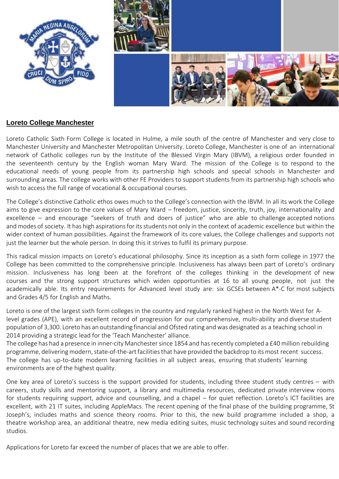

# **Loreto College Manchester**

Loreto Catholic Sixth Form College is located in Hulme, a mile south of the centre of Manchester and very close to Manchester University and Manchester Metropolitan University. Loreto College, Manchester is one of an international network of Catholic colleges run by the Institute of the Blessed Virgin Mary (IBVM), a religious order founded in the seventeenth century by the English woman Mary Ward. The mission of the College is to respond to the educational needs of young people from its partnership high schools and special schools in Manchester and surrounding areas. The college works with other FE Providers to support students from its partnership high schools who wish to access the full range of vocational & occupational courses.

The College's distinctive Catholic ethos owes much to the College's connection with the IBVM. In all its work the College aims to give expression to the core values of Mary Ward – freedom, justice, sincerity, truth, joy, internationality and excellence – and encourage "seekers of truth and doers of justice" who are able to challenge accepted notions and modes of society. It has high aspirations for its students not only in the context of academic excellence but within the wider context of human possibilities. Against the framework of its core values, the College challenges and supports not just the learner but the whole person. In doing this it strives to fulfil its primary purpose.

This radical mission impacts on Loreto's educational philosophy. Since its inception as a sixth form college in 1977 the College has been committed to the comprehensive principle. Inclusiveness has always been part of Loreto's ordinary mission. Inclusiveness has long been at the forefront of the colleges thinking in the development of new courses and the strong support structures which widen opportunities at 16 to all young people, not just the academically able. Its entry requirements for Advanced level study are: six GCSEs between 9-4 for most subjects and Grades 4/5 for English and Maths.

Loreto is one of the largest sixth form colleges in the country and regularly ranked highest in the North West for Alevel grades (APE), with an excellent record of progression for our comprehensive, multi-ability and diverse student population of 3,600. Loreto has an outstanding financial and Ofsted rating and was designated as a teaching school in 2014 providing a strategic lead for the 'Teach Manchester' alliance.

The college has had a presence in inner-city Manchester since 1854 and has recently completed a £40 million rebuilding programme, delivering modern, state-of-the-art facilities that have provided the backdrop to its most recent success. The college has up-to-date modern learning facilities in all subject areas, ensuring that students' learning environments are of the highest quality.

One key area of Loreto's success is the support provided for students, including three student study centres – with careers, study skills and mentoring support, a library and multimedia resources, dedicated private interview rooms for students requiring support, advice and counselling, and a chapel – for quiet reflection. Loreto's ICT facilities are excellent, with 21 IT suites, including AppleMacs. The recent opening of the final phase of the building programme, St Joseph's, includes maths and science theory rooms. Prior to this, the new build programme included a shop, a theatre workshop area, an additional theatre, new media editing suites, music technology suites and sound recording studios.

Applications for Loreto far exceed the number of places that we are able to offer.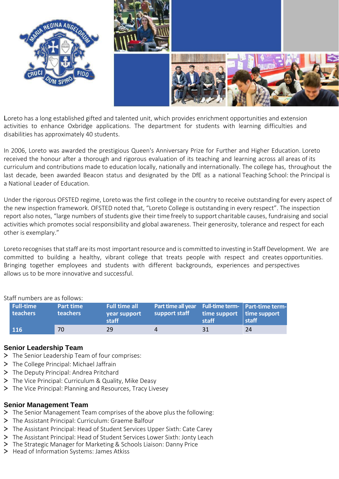

Loreto has a long established gifted and talented unit, which provides enrichment opportunities and extension activities to enhance Oxbridge applications. The department for students with learning difficulties and disabilities has approximately 40 students.

In 2006, Loreto was awarded the prestigious Queen's Anniversary Prize for Further and Higher Education. Loreto received the honour after a thorough and rigorous evaluation of its teaching and learning across all areas of its curriculum and contributions made to education locally, nationally and internationally. The college has, throughout the last decade, been awarded Beacon status and designated by the DfE as a national Teaching School: the Principal is a National Leader of Education.

Under the rigorous OFSTED regime, Loreto was the first college in the country to receive outstanding for every aspect of the new inspection framework. OFSTED noted that, "Loreto College is outstanding in every respect". The inspection report also notes, "large numbers of students give their time freely to support charitable causes, fundraising and social activities which promotes social responsibility and global awareness. Their generosity, tolerance and respect for each other is exemplary."

Loreto recognises that staff are its most important resource and is committed to investing in Staff Development. We are committed to building a healthy, vibrant college that treats people with respect and creates opportunities. Bringing together employees and students with different backgrounds, experiences and perspectives allows us to be more innovative and successful.

| <b>Full-time</b><br>teachers | <b>Part time</b><br><b>teachers</b> | <b>Full time all</b><br>vear support<br>staff | Part time all year Full-time term-   Part-time term-<br>support staff | time support $\parallel$ time support<br>staff | staff |
|------------------------------|-------------------------------------|-----------------------------------------------|-----------------------------------------------------------------------|------------------------------------------------|-------|
| <b>116</b>                   | 70                                  | 29                                            |                                                                       | 31                                             | 24    |

Staff numbers are as follows:

# **Senior Leadership Team**

- > The Senior Leadership Team of four comprises:
- > The College Principal: Michael Jaffrain
- > The Deputy Principal: Andrea Pritchard
- > The Vice Principal: Curriculum & Quality, Mike Deasy
- > The Vice Principal: Planning and Resources, Tracy Livesey

# **Senior Management Team**

- > The Senior Management Team comprises of the above plus the following:
- > The Assistant Principal: Curriculum: Graeme Balfour
- > The Assistant Principal: Head of Student Services Upper Sixth: Cate Carey
- > The Assistant Principal: Head of Student Services Lower Sixth: Jonty Leach
- > The Strategic Manager for Marketing & Schools Liaison: Danny Price
- > Head of Information Systems: James Atkiss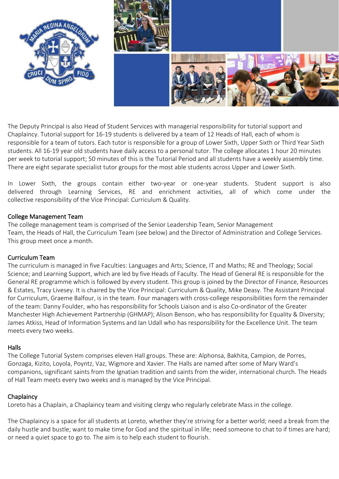

The Deputy Principal is also Head of Student Services with managerial responsibility for tutorial support and Chaplaincy. Tutorial support for 16-19 students is delivered by a team of 12 Heads of Hall, each of whom is responsible for a team of tutors. Each tutor is responsible for a group of Lower Sixth, Upper Sixth or Third Year Sixth students. All 16-19 year old students have daily access to a personal tutor. The college allocates 1 hour 20 minutes per week to tutorial support; 50 minutes of this is the Tutorial Period and all students have a weekly assembly time. There are eight separate specialist tutor groups for the most able students across Upper and Lower Sixth.

In Lower Sixth, the groups contain either two-year or one-year students. Student support is also delivered through Learning Services, RE and enrichment activities, all of which come under the collective responsibility of the Vice Principal: Curriculum & Quality.

## College Management Team

The college management team is comprised of the Senior Leadership Team, Senior Management Team, the Heads of Hall, the Curriculum Team (see below) and the Director of Administration and College Services. This group meet once a month.

# Curriculum Team

The curriculum is managed in Faculties: Languages and Arts; Science & Sport; Maths, Economics & Computing; Humanities; and Social Sciences, which are led by five Heads of Faculty. The Head of General RE is responsible for the General RE programme which is followed by every student. This group is joined by the Vice Principal: Resources & Planning, Tracy Livesey. It is chaired by the Vice Principal: Curriculum & Quality, Mike Deasy. The Assistant Principal for Curriculum, Graeme Balfour, is in the team. Five managers with cross-college responsibilities form the remainder of the team: Danny Foulder, who has responsibility for Schools Liaison and is also Co-ordinator of the Greater Manchester High Achievement Partnership (GHMAP); Eleanor Burnett who has responsibility for Equality & Diversity; James Atkiss, Head of Information Systems, Tom Hetherington, Head of Teaching & Learning and Ian Udall who has responsibility for the High Achiever's Unit. The team meets every two weeks.

## Halls

The College Tutorial System comprises twelve Hall groups. These are: Alphonsa, Bakhita, Campion, de Porres, Gonzaga, Kizito, Loyola, Poyntz, Rookwood, Vaz, Wigmore and Xavier. The Halls are named after some of Mary Ward's companions, significant saints from the Ignatian tradition and saints from the wider, international church. The Heads of Hall Team meets every two weeks and is managed by the Vice Principal.

# **Chaplaincy**

Loreto has a Chaplain, a Chaplaincy team and visiting clergy who regularly celebrate Mass in the college.

The Chaplaincy is a space for all students at Loreto, whether they're striving for a better world; need a break from the daily hustle and bustle; want to make time for God and the spiritual in life; need someone to chat to if times are hard; or need a quiet space to go to. The aim is to help each student to flourish.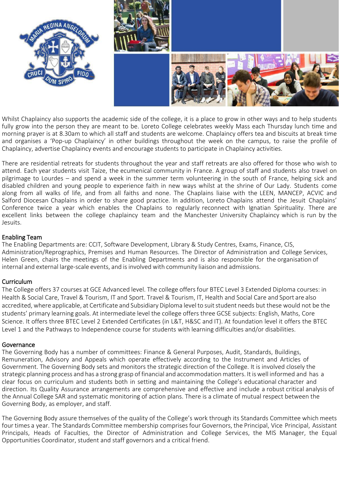

Whilst Chaplaincy also supports the academic side of the college, it is a place to grow in other ways and to help students fully grow into the person they are meant to be. Loreto College celebrates weekly Mass each Thursday lunch time and morning prayer is at 8.30am to which all staff and students are welcome. Chaplaincy offers tea and biscuits at break time and organises a 'Pop-up Chaplaincy' in other buildings throughout the week on the campus, to raise the profile of Chaplaincy, advertise Chaplaincy events and encourage students to participate in Chaplaincy activities.

There are residential retreats for students throughout the year and staff retreats are also offered for those who wish to attend. Each year students visit Taize, the ecumenical community in France. A group of staff and students also travel on pilgrimage to Lourdes – and spend a week in the summer term volunteering in the south of France, helping sick and disabled children and young people to experience faith in new ways whilst at the shrine of Our Lady. Students come along from all walks of life, and from all faiths and none. The Chaplains liaise with the LEEN, MANCEP, ACVIC and Salford Diocesan Chaplains in order to share good practice. In addition, Loreto Chaplains attend the Jesuit Chaplains' Conference twice a year which enables the Chaplains to regularly reconnect with Ignatian Spirituality. There are excellent links between the college chaplaincy team and the Manchester University Chaplaincy which is run by the Jesuits.

## Enabling Team

The Enabling Departments are: CCIT, Software Development, Library & Study Centres, Exams, Finance, CIS, Administration/Reprographics, Premises and Human Resources. The Director of Administration and College Services, Helen Green, chairs the meetings of the Enabling Departments and is also responsible for the organisation of internal and external large-scale events, and is involved with community liaison and admissions.

# Curriculum

The College offers 37 courses at GCE Advanced level. The college offers four BTEC Level 3 Extended Diploma courses: in Health & Social Care, Travel & Tourism, IT and Sport. Travel & Tourism, IT, Health and Social Care and Sport are also accredited, where applicable, at Certificate and Subsidiary Diploma level to suit student needs but these would not be the students' primary learning goals. At intermediate level the college offers three GCSE subjects: English, Maths, Core Science. It offers three BTEC Level 2 Extended Certificates (in L&T, H&SC and IT). At foundation level it offers the BTEC Level 1 and the Pathways to Independence course for students with learning difficulties and/or disabilities.

## Governance

The Governing Body has a number of committees: Finance & General Purposes, Audit, Standards, Buildings, Remuneration, Advisory and Appeals which operate effectively according to the Instrument and Articles of Government. The Governing Body sets and monitors the strategic direction of the College. It is involved closely the strategic planning process and has a strong grasp of financial and accommodation matters. It is well informed and has a clear focus on curriculum and students both in setting and maintaining the College's educational character and direction. Its Quality Assurance arrangements are comprehensive and effective and include a robust critical analysis of the Annual College SAR and systematic monitoring of action plans. There is a climate of mutual respect between the Governing Body, as employer, and staff.

The Governing Body assure themselves of the quality of the College's work through its Standards Committee which meets four times a year. The Standards Committee membership comprises four Governors, the Principal, Vice Principal, Assistant Principals, Heads of Faculties, the Director of Administration and College Services, the MIS Manager, the Equal Opportunities Coordinator, student and staff governors and a critical friend.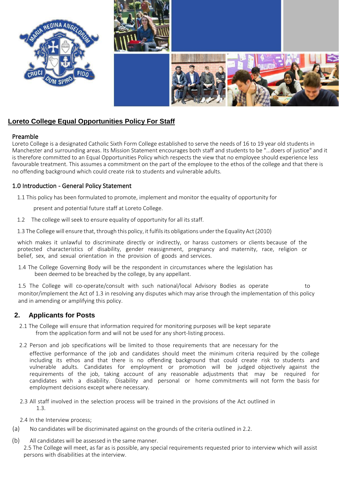

# **Loreto College Equal Opportunities Policy For Staff**

#### Preamble

Loreto College is a designated Catholic Sixth Form College established to serve the needs of 16 to 19 year old students in Manchester and surrounding areas. Its Mission Statement encourages both staff and students to be "...doers of justice" and it is therefore committed to an Equal Opportunities Policy which respects the view that no employee should experience less favourable treatment. This assumes a commitment on the part of the employee to the ethos of the college and that there is no offending background which could create risk to students and vulnerable adults.

## 1.0 Introduction - General Policy Statement

1.1 This policy has been formulated to promote, implement and monitor the equality of opportunity for

present and potential future staff at Loreto College.

- 1.2 The college will seek to ensure equality of opportunity for all its staff.
- 1.3 The College will ensure that, through this policy, it fulfils its obligations under the Equality Act (2010)

which makes it unlawful to discriminate directly or indirectly, or harass customers or clients because of the protected characteristics of disability, gender reassignment, pregnancy and maternity, race, religion or belief, sex, and sexual orientation in the provision of goods and services.

1.4 The College Governing Body will be the respondent in circumstances where the legislation has been deemed to be breached by the college, by any appellant.

1.5 The College will co-operate/consult with such national/local Advisory Bodies as operate to monitor/implement the Act of 1.3 in resolving any disputes which may arise through the implementation of this policy and in amending or amplifying this policy.

# **2. Applicants for Posts**

- 2.1 The College will ensure that information required for monitoring purposes will be kept separate from the application form and will not be used for any short-listing process.
- 2.2 Person and job specifications will be limited to those requirements that are necessary for the

effective performance of the job and candidates should meet the minimum criteria required by the college including its ethos and that there is no offending background that could create risk to students and vulnerable adults. Candidates for employment or promotion will be judged objectively against the requirements of the job, taking account of any reasonable adjustments that may be required for candidates with a disability. Disability and personal or home commitments will not form the basis for employment decisions except where necessary.

- 2.3 All staff involved in the selection process will be trained in the provisions of the Act outlined in 1.3.
- 2.4 In the Interview process;
- (a) No candidates will be discriminated against on the grounds of the criteria outlined in 2.2.
- (b) All candidates will be assessed in the same manner.

2.5 The College will meet, as far as is possible, any special requirements requested prior to interview which will assist persons with disabilities at the interview.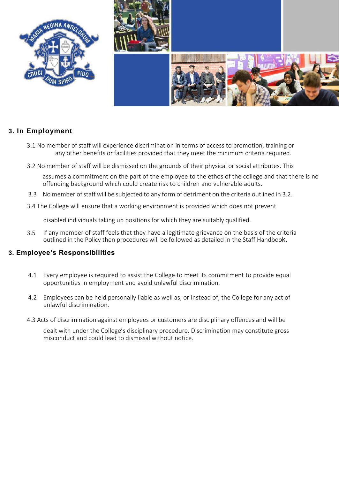

# **3. In Employment**

- 3.1 No member of staff will experience discrimination in terms of access to promotion, training or any other benefits or facilities provided that they meet the minimum criteria required.
- 3.2 No member of staff will be dismissed on the grounds of their physical or social attributes. This

assumes a commitment on the part of the employee to the ethos of the college and that there is no offending background which could create risk to children and vulnerable adults.

- 3.3 No member of staff will be subjected to any form of detriment on the criteria outlined in 3.2.
- 3.4 The College will ensure that a working environment is provided which does not prevent

disabled individuals taking up positions for which they are suitably qualified.

3.5 If any member of staff feels that they have a legitimate grievance on the basis of the criteria outlined in the Policy then procedures will be followed as detailed in the Staff Handbook.

# **3. Employee's Responsibilities**

- 4.1 Every employee is required to assist the College to meet its commitment to provide equal opportunities in employment and avoid unlawful discrimination.
- 4.2 Employees can be held personally liable as well as, or instead of, the College for any act of unlawful discrimination.
- 4.3 Acts of discrimination against employees or customers are disciplinary offences and will be

dealt with under the College's disciplinary procedure. Discrimination may constitute gross misconduct and could lead to dismissal without notice.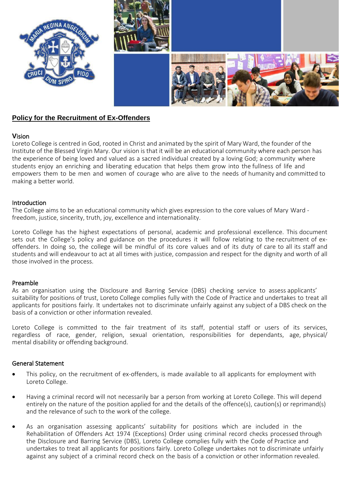

## **Policy for the Recruitment of Ex-Offenders**

#### **V**ision

Loreto College is centred in God, rooted in Christ and animated by the spirit of Mary Ward, the founder of the Institute of the Blessed Virgin Mary. Our vision is that it will be an educational community where each person has the experience of being loved and valued as a sacred individual created by a loving God; a community where students enjoy an enriching and liberating education that helps them grow into the fullness of life and empowers them to be men and women of courage who are alive to the needs of humanity and committed to making a better world.

#### Introduction

The College aims to be an educational community which gives expression to the core values of Mary Ward freedom, justice, sincerity, truth, joy, excellence and internationality.

Loreto College has the highest expectations of personal, academic and professional excellence. This document sets out the College's policy and guidance on the procedures it will follow relating to the recruitment of exoffenders. In doing so, the college will be mindful of its core values and of its duty of care to all its staff and students and will endeavour to act at all times with justice, compassion and respect for the dignity and worth of all those involved in the process.

#### Preamble

As an organisation using the Disclosure and Barring Service (DBS) checking service to assess applicants' suitability for positions of trust, Loreto College complies fully with the Code of Practice and undertakes to treat all applicants for positions fairly. It undertakes not to discriminate unfairly against any subject of a DBS check on the basis of a conviction or other information revealed.

Loreto College is committed to the fair treatment of its staff, potential staff or users of its services, regardless of race, gender, religion, sexual orientation, responsibilities for dependants, age, physical/ mental disability or offending background.

#### General Statement

- This policy, on the recruitment of ex-offenders, is made available to all applicants for employment with Loreto College.
- Having a criminal record will not necessarily bar a person from working at Loreto College. This will depend entirely on the nature of the position applied for and the details of the offence(s), caution(s) or reprimand(s) and the relevance of such to the work of the college.
- As an organisation assessing applicants' suitability for positions which are included in the Rehabilitation of Offenders Act 1974 (Exceptions) Order using criminal record checks processed through the Disclosure and Barring Service (DBS), Loreto College complies fully with the Code of Practice and undertakes to treat all applicants for positions fairly. Loreto College undertakes not to discriminate unfairly against any subject of a criminal record check on the basis of a conviction or other information revealed.